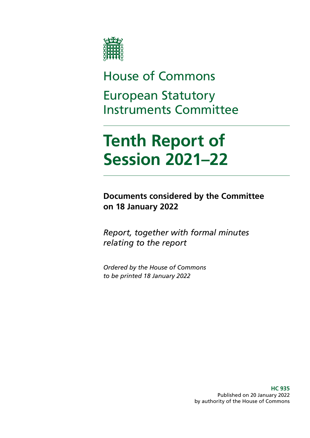

## House of Commons European Statutory Instruments Committee

# **Tenth Report of Session 2021–22**

**Documents considered by the Committee on 18 January 2022**

*Report, together with formal minutes relating to the report*

*Ordered by the House of Commons to be printed 18 January 2022*

> **HC 935** Published on 20 January 2022 by authority of the House of Commons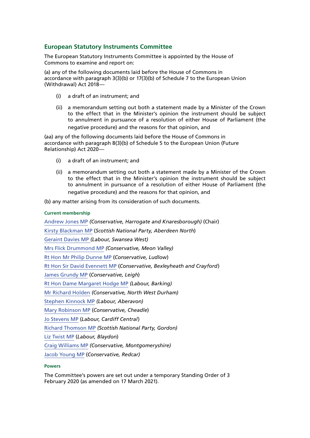#### **European Statutory Instruments Committee**

The European Statutory Instruments Committee is appointed by the House of Commons to examine and report on:

(a) any of the following documents laid before the House of Commons in accordance with paragraph 3(3)(b) or 17(3)(b) of Schedule 7 to the European Union (Withdrawal) Act 2018—

- (i) a draft of an instrument; and
- (ii) a memorandum setting out both a statement made by a Minister of the Crown to the effect that in the Minister's opinion the instrument should be subject to annulment in pursuance of a resolution of either House of Parliament (the negative procedure) and the reasons for that opinion, and

(aa) any of the following documents laid before the House of Commons in accordance with paragraph 8(3)(b) of Schedule 5 to the European Union (Future Relationship) Act 2020—

- (i) a draft of an instrument; and
- (ii) a memorandum setting out both a statement made by a Minister of the Crown to the effect that in the Minister's opinion the instrument should be subject to annulment in pursuance of a resolution of either House of Parliament (the negative procedure) and the reasons for that opinion, and

(b) any matter arising from its consideration of such documents.

#### **Current membership**

[Andrew Jones MP](https://members.parliament.uk/member/3996/contact) *(Conservative, Harrogate and Knaresborough)* (Chair) [Kirsty Blackman MP](https://www.parliament.uk/biographies/commons/kirsty-blackman/4357) (*Scottish National Party, Aberdeen North*) [Geraint Davies MP](https://members.parliament.uk/member/155/contact) *(Labour, Swansea West)* [Mrs Flick Drummond MP](https://members.parliament.uk/member/4459/contact) *(Conservative, Meon Valley)* [Rt Hon Mr Philip Dunne MP](https://www.parliament.uk/biographies/commons/mr-philip-dunne/1542) (*Conservative, Ludlow*) [Rt Hon Sir David Evennett MP](https://www.parliament.uk/biographies/commons/sir-david-evennett/1198) (*Conservative, Bexleyheath and Crayford*) [James Grundy MP](https://members.parliament.uk/member/4843/contact) (*Conservative, Leigh*) [Rt Hon Dame Margaret Hodge MP](https://members.parliament.uk/member/140/contact) *(Labour, Barking)* [Mr Richard Holden](https://members.parliament.uk/member/4813/contact) *(Conservative, North West Durham)* [Stephen Kinnock MP](https://members.parliament.uk/member/4359/contact) *(Labour, Aberavon)* [Mary Robinson MP](https://members.parliament.uk/member/4406/contact) (*Conservative, Cheadle*) [Jo Stevens MP](https://www.parliament.uk/biographies/commons/jo-stevens/4425) (*Labour, Cardiff Central*) [Richard Thomson MP](https://members.parliament.uk/member/4796/contact) *(Scottish National Party, Gordon)* [Liz Twist MP](https://www.parliament.uk/biographies/commons/liz-twist/4618) (*Labour, Blaydon*) [Craig Williams MP](https://members.parliament.uk/member/4438/contact) *(Conservative, Montgomeryshire)*

[Jacob Young MP](https://members.parliament.uk/member/4825/contact) (*Conservative, Redcar)*

#### **Powers**

The Committee's powers are set out under a temporary Standing Order of 3 February 2020 (as amended on 17 March 2021).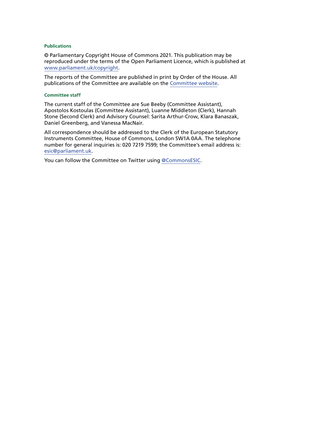#### **Publications**

© Parliamentary Copyright House of Commons 2021. This publication may be reproduced under the terms of the Open Parliament Licence, which is published at [www.parliament.uk/copyright](https://www.parliament.uk/copyright).

The reports of the Committee are published in print by Order of the House. All publications of the Committee are available on the [Committee website.](https://committees.parliament.uk/committee/393/european-statutory-instruments-committee/)

#### **Committee staff**

The current staff of the Committee are Sue Beeby (Committee Assistant), Apostolos Kostoulas (Committee Assistant), Luanne Middleton (Clerk), Hannah Stone (Second Clerk) and Advisory Counsel: Sarita Arthur-Crow, Klara Banaszak, Daniel Greenberg, and Vanessa MacNair.

All correspondence should be addressed to the Clerk of the European Statutory Instruments Committee, House of Commons, London SW1A 0AA. The telephone number for general inquiries is: 020 7219 7599; the Committee's email address is: [esic@parliament.uk.](mailto:esic%40parliament.uk?subject=)

You can follow the Committee on Twitter using [@CommonsESIC](https://twitter.com/CommonsESIC).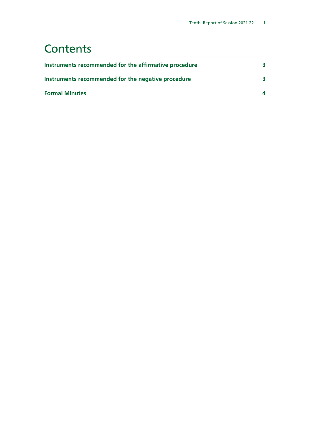### **Contents**

| Instruments recommended for the affirmative procedure | 3                      |
|-------------------------------------------------------|------------------------|
| Instruments recommended for the negative procedure    | ₹                      |
| <b>Formal Minutes</b>                                 | $\boldsymbol{\Lambda}$ |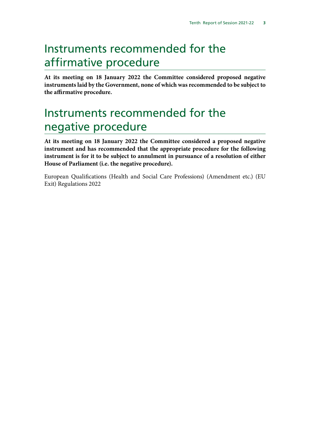### <span id="page-6-0"></span>Instruments recommended for the affirmative procedure

**At its meeting on 18 January 2022 the Committee considered proposed negative instruments laid by the Government, none of which was recommended to be subject to the affirmative procedure.**

### Instruments recommended for the negative procedure

**At its meeting on 18 January 2022 the Committee considered a proposed negative instrument and has recommended that the appropriate procedure for the following instrument is for it to be subject to annulment in pursuance of a resolution of either House of Parliament (i.e. the negative procedure).**

European Qualifications (Health and Social Care Professions) (Amendment etc.) (EU Exit) Regulations 2022